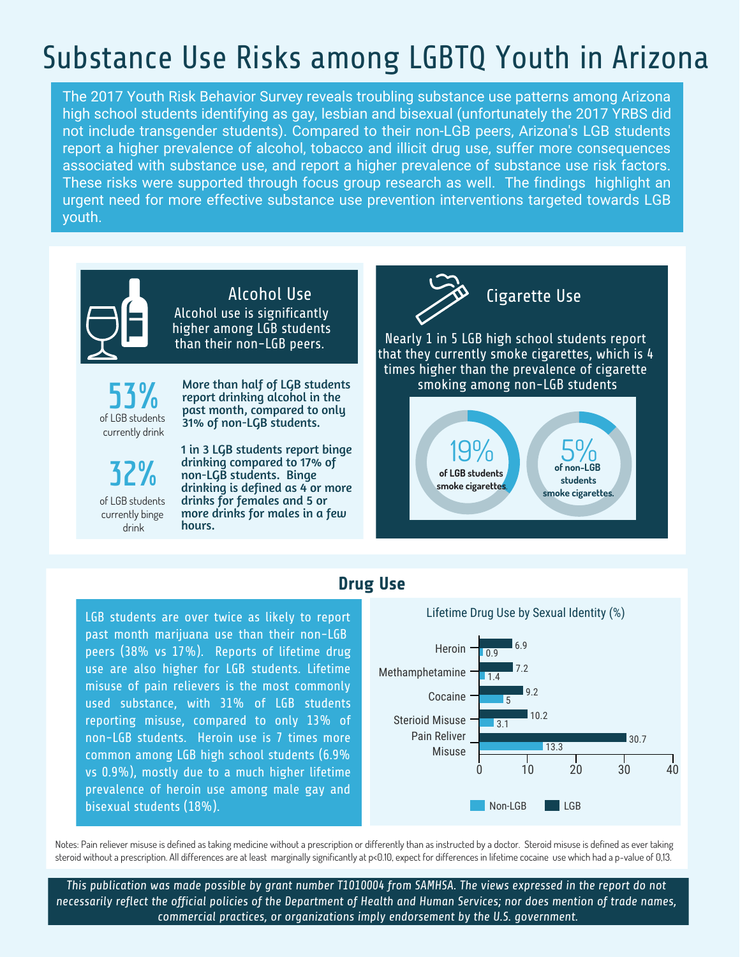# Substance Use Risks among LGBTQ Youth in Arizona

The 2017 Youth Risk Behavior Survey reveals troubling substance use patterns among Arizona high school students identifying as gay, lesbian and bisexual (unfortunately the 2017 YRBS did not include transgender students). Compared to their non-LGB peers, Arizona's LGB students report a higher prevalence of alcohol, tobacco and illicit drug use, suffer more consequences associated with substance use, and report a higher prevalence of substance use risk factors. These risks were supported through focus group research as well. The findings highlight an urgent need for more effective substance use prevention interventions targeted towards LGB youth.



Alcohol use is significantly higher among LGB students than their non-LGB peers. Alcohol Use

**53%** of LGB students currently drink

More than half of LGB students report drinking alcohol in the past month, compared to only 31% of non-LGB students.

**32%** of LGB students currently binge drink

1 in 3 LGB students report binge drinking compared to 17% of non-LGB students. Binge drinking is defined as 4 or more drinks for females and 5 or more drinks for males in a few hours.



## **Drug Use**

LGB students are over twice as likely to report past month marijuana use than their non-LGB peers (38% vs 17%). Reports of lifetime drug use are also higher for LGB students. Lifetime misuse of pain relievers is the most commonly used substance, with 31% of LGB students reporting misuse, compared to only 13% of non-LGB students. Heroin use is 7 times more common among LGB high school students (6.9% vs 0.9%), mostly due to a much higher lifetime prevalence of heroin use among male gay and bisexual students (18%).



Notes: Pain reliever misuse is defined as taking medicine without a prescription or differently than as instructed by a doctor. Steroid misuse is defined as ever taking steroid without a prescription. All differences are at least marginally significantly at p<0.10, expect for differences in lifetime cocaine use which had a p-value of 0,13.

*This publication was made possible by grant number T1010004 from SAMHSA. The views expressed in the report do not necessarily reflect the official policies of the Department of Health and Human Services; nor does mention of trade names, commercial practices, or organizations imply endorsement by the U.S. government.*

### Lifetime Drug Use by Sexual Identity (%)